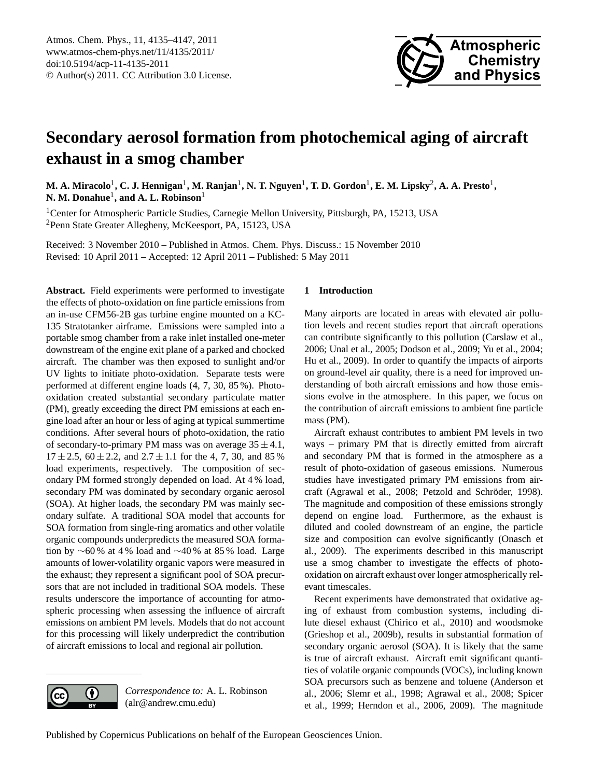

# <span id="page-0-0"></span>**Secondary aerosol formation from photochemical aging of aircraft exhaust in a smog chamber**

M. A. Miracolo<sup>1</sup>, C. J. Hennigan<sup>1</sup>, M. Ranjan<sup>1</sup>, N. T. Nguyen<sup>1</sup>, T. D. Gordon<sup>1</sup>, E. M. Lipsky<sup>2</sup>, A. A. Presto<sup>1</sup>, **N. M. Donahue**<sup>1</sup> **, and A. L. Robinson**<sup>1</sup>

<sup>1</sup>Center for Atmospheric Particle Studies, Carnegie Mellon University, Pittsburgh, PA, 15213, USA <sup>2</sup>Penn State Greater Allegheny, McKeesport, PA, 15123, USA

Received: 3 November 2010 – Published in Atmos. Chem. Phys. Discuss.: 15 November 2010 Revised: 10 April 2011 – Accepted: 12 April 2011 – Published: 5 May 2011

**Abstract.** Field experiments were performed to investigate the effects of photo-oxidation on fine particle emissions from an in-use CFM56-2B gas turbine engine mounted on a KC-135 Stratotanker airframe. Emissions were sampled into a portable smog chamber from a rake inlet installed one-meter downstream of the engine exit plane of a parked and chocked aircraft. The chamber was then exposed to sunlight and/or UV lights to initiate photo-oxidation. Separate tests were performed at different engine loads (4, 7, 30, 85 %). Photooxidation created substantial secondary particulate matter (PM), greatly exceeding the direct PM emissions at each engine load after an hour or less of aging at typical summertime conditions. After several hours of photo-oxidation, the ratio of secondary-to-primary PM mass was on average  $35 \pm 4.1$ ,  $17 \pm 2.5$ ,  $60 \pm 2.2$ , and  $2.7 \pm 1.1$  for the 4, 7, 30, and 85% load experiments, respectively. The composition of secondary PM formed strongly depended on load. At 4 % load, secondary PM was dominated by secondary organic aerosol (SOA). At higher loads, the secondary PM was mainly secondary sulfate. A traditional SOA model that accounts for SOA formation from single-ring aromatics and other volatile organic compounds underpredicts the measured SOA formation by ∼60 % at 4 % load and ∼40 % at 85 % load. Large amounts of lower-volatility organic vapors were measured in the exhaust; they represent a significant pool of SOA precursors that are not included in traditional SOA models. These results underscore the importance of accounting for atmospheric processing when assessing the influence of aircraft emissions on ambient PM levels. Models that do not account for this processing will likely underpredict the contribution of aircraft emissions to local and regional air pollution.

## **1 Introduction**

Many airports are located in areas with elevated air pollution levels and recent studies report that aircraft operations can contribute significantly to this pollution (Carslaw et al., 2006; Unal et al., 2005; Dodson et al., 2009; Yu et al., 2004; Hu et al., 2009). In order to quantify the impacts of airports on ground-level air quality, there is a need for improved understanding of both aircraft emissions and how those emissions evolve in the atmosphere. In this paper, we focus on the contribution of aircraft emissions to ambient fine particle mass (PM).

Aircraft exhaust contributes to ambient PM levels in two ways – primary PM that is directly emitted from aircraft and secondary PM that is formed in the atmosphere as a result of photo-oxidation of gaseous emissions. Numerous studies have investigated primary PM emissions from aircraft (Agrawal et al., 2008; Petzold and Schröder, 1998). The magnitude and composition of these emissions strongly depend on engine load. Furthermore, as the exhaust is diluted and cooled downstream of an engine, the particle size and composition can evolve significantly (Onasch et al., 2009). The experiments described in this manuscript use a smog chamber to investigate the effects of photooxidation on aircraft exhaust over longer atmospherically relevant timescales.

Recent experiments have demonstrated that oxidative aging of exhaust from combustion systems, including dilute diesel exhaust (Chirico et al., 2010) and woodsmoke (Grieshop et al., 2009b), results in substantial formation of secondary organic aerosol (SOA). It is likely that the same is true of aircraft exhaust. Aircraft emit significant quantities of volatile organic compounds (VOCs), including known SOA precursors such as benzene and toluene (Anderson et al., 2006; Slemr et al., 1998; Agrawal et al., 2008; Spicer et al., 1999; Herndon et al., 2006, 2009). The magnitude

*Correspondence to:* A. L. Robinson

(alr@andrew.cmu.edu)

 $\left( \cdot \right)$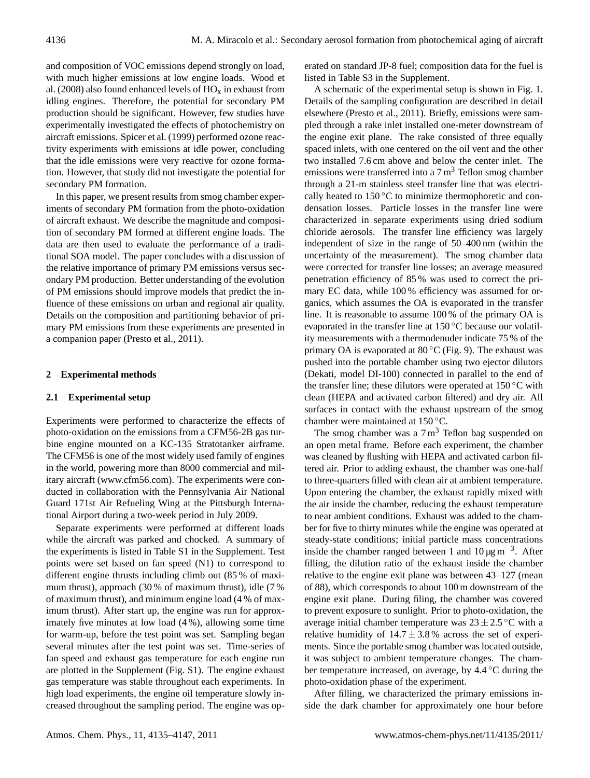and composition of VOC emissions depend strongly on load, with much higher emissions at low engine loads. Wood et al. (2008) also found enhanced levels of  $HO_x$  in exhaust from idling engines. Therefore, the potential for secondary PM production should be significant. However, few studies have experimentally investigated the effects of photochemistry on aircraft emissions. Spicer et al. (1999) performed ozone reactivity experiments with emissions at idle power, concluding that the idle emissions were very reactive for ozone formation. However, that study did not investigate the potential for secondary PM formation.

In this paper, we present results from smog chamber experiments of secondary PM formation from the photo-oxidation of aircraft exhaust. We describe the magnitude and composition of secondary PM formed at different engine loads. The data are then used to evaluate the performance of a traditional SOA model. The paper concludes with a discussion of the relative importance of primary PM emissions versus secondary PM production. Better understanding of the evolution of PM emissions should improve models that predict the influence of these emissions on urban and regional air quality. Details on the composition and partitioning behavior of primary PM emissions from these experiments are presented in a companion paper (Presto et al., 2011).

## **2 Experimental methods**

#### **2.1 Experimental setup**

Experiments were performed to characterize the effects of photo-oxidation on the emissions from a CFM56-2B gas turbine engine mounted on a KC-135 Stratotanker airframe. The CFM56 is one of the most widely used family of engines in the world, powering more than 8000 commercial and military aircraft [\(www.cfm56.com\)](www.cfm56.com). The experiments were conducted in collaboration with the Pennsylvania Air National Guard 171st Air Refueling Wing at the Pittsburgh International Airport during a two-week period in July 2009.

Separate experiments were performed at different loads while the aircraft was parked and chocked. A summary of the experiments is listed in Table S1 in the Supplement. Test points were set based on fan speed (N1) to correspond to different engine thrusts including climb out (85 % of maximum thrust), approach (30 % of maximum thrust), idle (7 % of maximum thrust), and minimum engine load (4 % of maximum thrust). After start up, the engine was run for approximately five minutes at low load (4 %), allowing some time for warm-up, before the test point was set. Sampling began several minutes after the test point was set. Time-series of fan speed and exhaust gas temperature for each engine run are plotted in the Supplement (Fig. S1). The engine exhaust gas temperature was stable throughout each experiments. In high load experiments, the engine oil temperature slowly increased throughout the sampling period. The engine was operated on standard JP-8 fuel; composition data for the fuel is listed in Table S3 in the Supplement.

A schematic of the experimental setup is shown in Fig. 1. Details of the sampling configuration are described in detail elsewhere (Presto et al., 2011). Briefly, emissions were sampled through a rake inlet installed one-meter downstream of the engine exit plane. The rake consisted of three equally spaced inlets, with one centered on the oil vent and the other two installed 7.6 cm above and below the center inlet. The emissions were transferred into a  $7 \text{ m}^3$  Teflon smog chamber through a 21-m stainless steel transfer line that was electrically heated to  $150\,^{\circ}\text{C}$  to minimize thermophoretic and condensation losses. Particle losses in the transfer line were characterized in separate experiments using dried sodium chloride aerosols. The transfer line efficiency was largely independent of size in the range of 50–400 nm (within the uncertainty of the measurement). The smog chamber data were corrected for transfer line losses; an average measured penetration efficiency of 85 % was used to correct the primary EC data, while 100 % efficiency was assumed for organics, which assumes the OA is evaporated in the transfer line. It is reasonable to assume 100 % of the primary OA is evaporated in the transfer line at 150 °C because our volatility measurements with a thermodenuder indicate 75 % of the primary OA is evaporated at  $80^{\circ}$ C (Fig. 9). The exhaust was pushed into the portable chamber using two ejector dilutors (Dekati, model DI-100) connected in parallel to the end of the transfer line; these dilutors were operated at  $150\,^{\circ}\text{C}$  with clean (HEPA and activated carbon filtered) and dry air. All surfaces in contact with the exhaust upstream of the smog chamber were maintained at 150 ◦C.

The smog chamber was a  $7 \text{ m}^3$  Teflon bag suspended on an open metal frame. Before each experiment, the chamber was cleaned by flushing with HEPA and activated carbon filtered air. Prior to adding exhaust, the chamber was one-half to three-quarters filled with clean air at ambient temperature. Upon entering the chamber, the exhaust rapidly mixed with the air inside the chamber, reducing the exhaust temperature to near ambient conditions. Exhaust was added to the chamber for five to thirty minutes while the engine was operated at steady-state conditions; initial particle mass concentrations inside the chamber ranged between 1 and  $10 \,\mathrm{\upmu g\,m}^{-3}$ . After filling, the dilution ratio of the exhaust inside the chamber relative to the engine exit plane was between 43–127 (mean of 88), which corresponds to about 100 m downstream of the engine exit plane. During filing, the chamber was covered to prevent exposure to sunlight. Prior to photo-oxidation, the average initial chamber temperature was  $23 \pm 2.5$  °C with a relative humidity of  $14.7 \pm 3.8$ % across the set of experiments. Since the portable smog chamber was located outside, it was subject to ambient temperature changes. The chamber temperature increased, on average, by 4.4 ◦C during the photo-oxidation phase of the experiment.

After filling, we characterized the primary emissions inside the dark chamber for approximately one hour before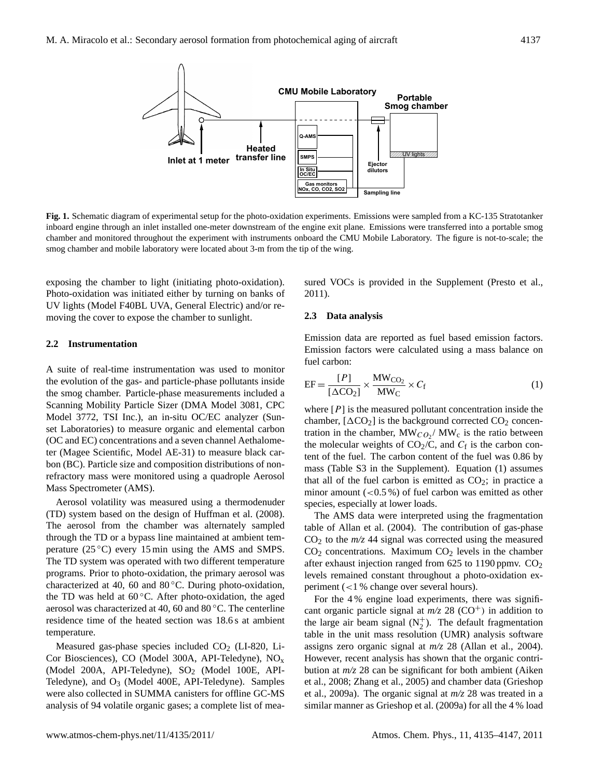

**Fig. 1.** Schematic diagram of experimental setup for the photo-oxidation experiments. Emissions were sampled from a KC-135 Stratotanker inboard engine through an inlet installed one-meter downstream of the engine exit plane. Emissions were transferred into a portable smog chamber and monitored throughout the experiment with instruments onboard the CMU Mobile Laboratory. The figure is not-to-scale; the smog chamber and mobile laboratory were located about 3-m from the tip of the wing.

exposing the chamber to light (initiating photo-oxidation). Photo-oxidation was initiated either by turning on banks of UV lights (Model F40BL UVA, General Electric) and/or removing the cover to expose the chamber to sunlight.

#### **2.2 Instrumentation**

A suite of real-time instrumentation was used to monitor the evolution of the gas- and particle-phase pollutants inside the smog chamber. Particle-phase measurements included a Scanning Mobility Particle Sizer (DMA Model 3081, CPC Model 3772, TSI Inc.), an in-situ OC/EC analyzer (Sunset Laboratories) to measure organic and elemental carbon (OC and EC) concentrations and a seven channel Aethalometer (Magee Scientific, Model AE-31) to measure black carbon (BC). Particle size and composition distributions of nonrefractory mass were monitored using a quadrople Aerosol Mass Spectrometer (AMS).

Aerosol volatility was measured using a thermodenuder (TD) system based on the design of Huffman et al. (2008). The aerosol from the chamber was alternately sampled through the TD or a bypass line maintained at ambient temperature  $(25 \degree C)$  every 15 min using the AMS and SMPS. The TD system was operated with two different temperature programs. Prior to photo-oxidation, the primary aerosol was characterized at 40, 60 and 80 ◦C. During photo-oxidation, the TD was held at  $60^{\circ}$ C. After photo-oxidation, the aged aerosol was characterized at 40, 60 and 80 ◦C. The centerline residence time of the heated section was 18.6 s at ambient temperature.

Measured gas-phase species included  $CO<sub>2</sub>$  (LI-820, Li-Cor Biosciences), CO (Model 300A, API-Teledyne),  $NO<sub>x</sub>$ (Model 200A, API-Teledyne), SO<sub>2</sub> (Model 100E, API-Teledyne), and O<sup>3</sup> (Model 400E, API-Teledyne). Samples were also collected in SUMMA canisters for offline GC-MS analysis of 94 volatile organic gases; a complete list of mea-

sured VOCs is provided in the Supplement (Presto et al., 2011).

### **2.3 Data analysis**

Emission data are reported as fuel based emission factors. Emission factors were calculated using a mass balance on fuel carbon:

$$
EF = \frac{[P]}{[\Delta CO_2]} \times \frac{MW_{CO_2}}{MW_C} \times C_f
$$
 (1)

where  $[P]$  is the measured pollutant concentration inside the chamber,  $[\Delta CO_2]$  is the background corrected  $CO_2$  concentration in the chamber,  $MW_{CO_2}/MW_c$  is the ratio between the molecular weights of  $CO_2/C$ , and  $C_f$  is the carbon content of the fuel. The carbon content of the fuel was 0.86 by mass (Table S3 in the Supplement). Equation (1) assumes that all of the fuel carbon is emitted as  $CO<sub>2</sub>$ ; in practice a minor amount  $(<0.5\%)$  of fuel carbon was emitted as other species, especially at lower loads.

The AMS data were interpreted using the fragmentation table of Allan et al. (2004). The contribution of gas-phase  $CO<sub>2</sub>$  to the  $m/z$  44 signal was corrected using the measured  $CO<sub>2</sub>$  concentrations. Maximum  $CO<sub>2</sub>$  levels in the chamber after exhaust injection ranged from 625 to 1190 ppmv. CO<sub>2</sub> levels remained constant throughout a photo-oxidation experiment (<1 % change over several hours).

For the 4 % engine load experiments, there was significant organic particle signal at  $m/z$  28 (CO<sup>+</sup>) in addition to the large air beam signal  $(N_2^+)$ . The default fragmentation table in the unit mass resolution (UMR) analysis software assigns zero organic signal at *m/z* 28 (Allan et al., 2004). However, recent analysis has shown that the organic contribution at *m/z* 28 can be significant for both ambient (Aiken et al., 2008; Zhang et al., 2005) and chamber data (Grieshop et al., 2009a). The organic signal at *m/z* 28 was treated in a similar manner as Grieshop et al. (2009a) for all the 4 % load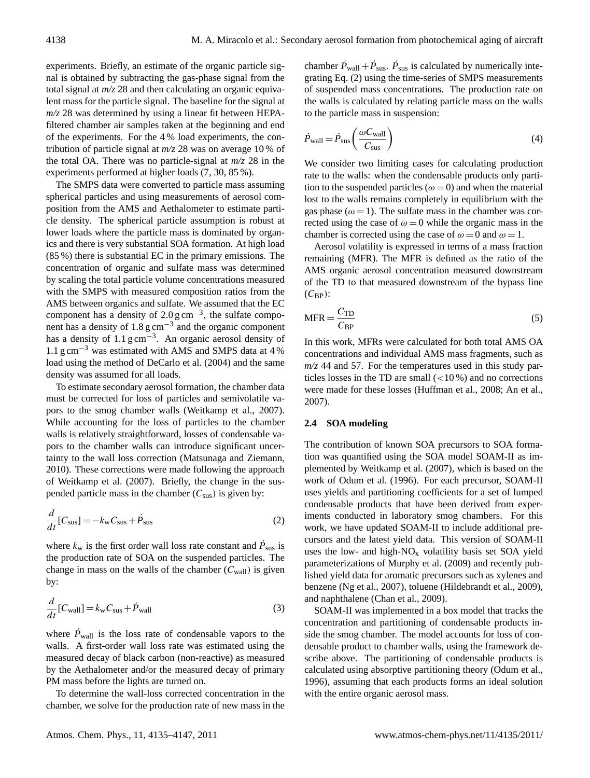experiments. Briefly, an estimate of the organic particle signal is obtained by subtracting the gas-phase signal from the total signal at *m/z* 28 and then calculating an organic equivalent mass for the particle signal. The baseline for the signal at *m/z* 28 was determined by using a linear fit between HEPAfiltered chamber air samples taken at the beginning and end of the experiments. For the 4 % load experiments, the contribution of particle signal at *m/z* 28 was on average 10 % of the total OA. There was no particle-signal at *m/z* 28 in the experiments performed at higher loads (7, 30, 85 %).

The SMPS data were converted to particle mass assuming spherical particles and using measurements of aerosol composition from the AMS and Aethalometer to estimate particle density. The spherical particle assumption is robust at lower loads where the particle mass is dominated by organics and there is very substantial SOA formation. At high load (85 %) there is substantial EC in the primary emissions. The concentration of organic and sulfate mass was determined by scaling the total particle volume concentrations measured with the SMPS with measured composition ratios from the AMS between organics and sulfate. We assumed that the EC component has a density of  $2.0 \text{ g cm}^{-3}$ , the sulfate component has a density of  $1.8 \text{ g cm}^{-3}$  and the organic component has a density of  $1.1 \text{ g cm}^{-3}$ . An organic aerosol density of 1.1  $\text{g cm}^{-3}$  was estimated with AMS and SMPS data at 4 % load using the method of DeCarlo et al. (2004) and the same density was assumed for all loads.

To estimate secondary aerosol formation, the chamber data must be corrected for loss of particles and semivolatile vapors to the smog chamber walls (Weitkamp et al., 2007). While accounting for the loss of particles to the chamber walls is relatively straightforward, losses of condensable vapors to the chamber walls can introduce significant uncertainty to the wall loss correction (Matsunaga and Ziemann, 2010). These corrections were made following the approach of Weitkamp et al. (2007). Briefly, the change in the suspended particle mass in the chamber  $(C_{\text{sus}})$  is given by:

$$
\frac{d}{dt}[C_{\text{sus}}] = -k_{\text{w}}C_{\text{sus}} + \dot{P}_{\text{sus}}
$$
\n(2)

where  $k_{\rm w}$  is the first order wall loss rate constant and  $\dot{P}_{\rm sus}$  is the production rate of SOA on the suspended particles. The change in mass on the walls of the chamber  $(C_{wall})$  is given by:

$$
\frac{d}{dt}[C_{\text{wall}}] = k_{\text{w}}C_{\text{sus}} + \dot{P}_{\text{wall}} \tag{3}
$$

where  $\dot{P}_{\text{wall}}$  is the loss rate of condensable vapors to the walls. A first-order wall loss rate was estimated using the measured decay of black carbon (non-reactive) as measured by the Aethalometer and/or the measured decay of primary PM mass before the lights are turned on.

To determine the wall-loss corrected concentration in the chamber, we solve for the production rate of new mass in the

chamber  $\dot{P}_{\text{wall}} + \dot{P}_{\text{sus}}$ .  $\dot{P}_{\text{sus}}$  is calculated by numerically integrating Eq. (2) using the time-series of SMPS measurements of suspended mass concentrations. The production rate on the walls is calculated by relating particle mass on the walls to the particle mass in suspension:

$$
\dot{P}_{\text{wall}} = \dot{P}_{\text{sus}} \left( \frac{\omega C_{\text{wall}}}{C_{\text{sus}}} \right)
$$
 (4)

We consider two limiting cases for calculating production rate to the walls: when the condensable products only partition to the suspended particles ( $\omega = 0$ ) and when the material lost to the walls remains completely in equilibrium with the gas phase ( $\omega = 1$ ). The sulfate mass in the chamber was corrected using the case of  $\omega = 0$  while the organic mass in the chamber is corrected using the case of  $\omega = 0$  and  $\omega = 1$ .

Aerosol volatility is expressed in terms of a mass fraction remaining (MFR). The MFR is defined as the ratio of the AMS organic aerosol concentration measured downstream of the TD to that measured downstream of the bypass line  $(C_{BP})$ :

$$
MFR = \frac{C_{TD}}{C_{BP}}\tag{5}
$$

In this work, MFRs were calculated for both total AMS OA concentrations and individual AMS mass fragments, such as *m/z* 44 and 57. For the temperatures used in this study particles losses in the TD are small  $\left($  < 10 %) and no corrections were made for these losses (Huffman et al., 2008; An et al., 2007).

## **2.4 SOA modeling**

The contribution of known SOA precursors to SOA formation was quantified using the SOA model SOAM-II as implemented by Weitkamp et al. (2007), which is based on the work of Odum et al. (1996). For each precursor, SOAM-II uses yields and partitioning coefficients for a set of lumped condensable products that have been derived from experiments conducted in laboratory smog chambers. For this work, we have updated SOAM-II to include additional precursors and the latest yield data. This version of SOAM-II uses the low- and high- $NO<sub>x</sub>$  volatility basis set SOA yield parameterizations of Murphy et al. (2009) and recently published yield data for aromatic precursors such as xylenes and benzene (Ng et al., 2007), toluene (Hildebrandt et al., 2009), and naphthalene (Chan et al., 2009).

SOAM-II was implemented in a box model that tracks the concentration and partitioning of condensable products inside the smog chamber. The model accounts for loss of condensable product to chamber walls, using the framework describe above. The partitioning of condensable products is calculated using absorptive partitioning theory (Odum et al., 1996), assuming that each products forms an ideal solution with the entire organic aerosol mass.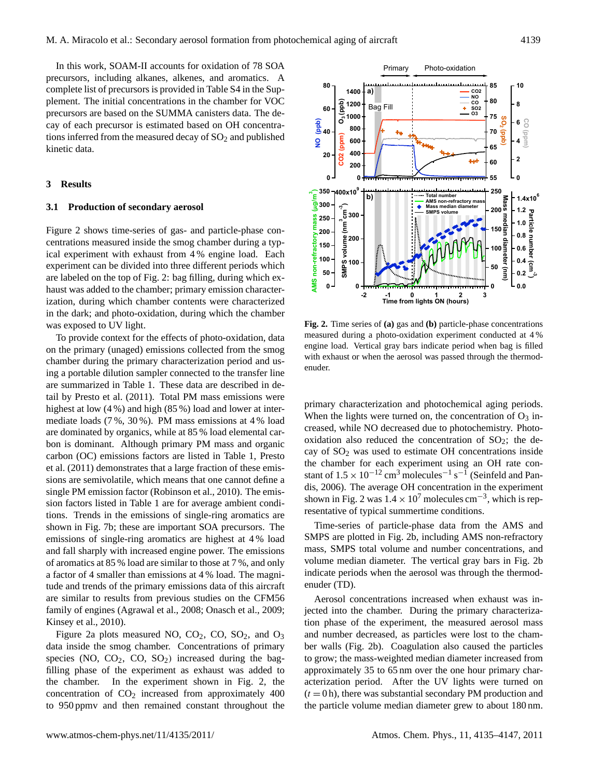In this work, SOAM-II accounts for oxidation of 78 SOA precursors, including alkanes, alkenes, and aromatics. A complete list of precursors is provided in Table S4 in the Supplement. The initial concentrations in the chamber for VOC precursors are based on the SUMMA canisters data. The decay of each precursor is estimated based on OH concentrations inferred from the measured decay of  $SO<sub>2</sub>$  and published kinetic data.

## **3 Results**

### **3.1 Production of secondary aerosol**

Figure 2 shows time-series of gas- and particle-phase concentrations measured inside the smog chamber during a typical experiment with exhaust from 4 % engine load. Each experiment can be divided into three different periods which are labeled on the top of Fig. 2: bag filling, during which exhaust was added to the chamber; primary emission characterization, during which chamber contents were characterized in the dark; and photo-oxidation, during which the chamber was exposed to UV light.

To provide context for the effects of photo-oxidation, data on the primary (unaged) emissions collected from the smog chamber during the primary characterization period and using a portable dilution sampler connected to the transfer line are summarized in Table 1. These data are described in detail by Presto et al. (2011). Total PM mass emissions were highest at low  $(4\%)$  and high  $(85\%)$  load and lower at intermediate loads (7 %, 30 %). PM mass emissions at 4 % load are dominated by organics, while at 85 % load elemental carbon is dominant. Although primary PM mass and organic carbon (OC) emissions factors are listed in Table 1, Presto et al. (2011) demonstrates that a large fraction of these emissions are semivolatile, which means that one cannot define a single PM emission factor (Robinson et al., 2010). The emission factors listed in Table 1 are for average ambient conditions. Trends in the emissions of single-ring aromatics are shown in Fig. 7b; these are important SOA precursors. The emissions of single-ring aromatics are highest at 4 % load and fall sharply with increased engine power. The emissions of aromatics at 85 % load are similar to those at 7 %, and only a factor of 4 smaller than emissions at 4 % load. The magnitude and trends of the primary emissions data of this aircraft are similar to results from previous studies on the CFM56 family of engines (Agrawal et al., 2008; Onasch et al., 2009; Kinsey et al., 2010).

Figure 2a plots measured NO,  $CO<sub>2</sub>$ ,  $CO<sub>2</sub>$ ,  $CO<sub>2</sub>$ , and  $O<sub>3</sub>$ data inside the smog chamber. Concentrations of primary species (NO,  $CO<sub>2</sub>$ ,  $CO<sub>2</sub>$ ,  $SO<sub>2</sub>$ ) increased during the bagfilling phase of the experiment as exhaust was added to the chamber. In the experiment shown in Fig. 2, the concentration of  $CO<sub>2</sub>$  increased from approximately 400 to 950 ppmv and then remained constant throughout the



**Fig. 2.** Time series of **(a)** gas and **(b)** particle-phase concentrations measured during a photo-oxidation experiment conducted at 4 % engine load. Vertical gray bars indicate period when bag is filled with exhaust or when the aerosol was passed through the thermodenuder.

primary characterization and photochemical aging periods. When the lights were turned on, the concentration of  $O_3$  increased, while NO decreased due to photochemistry. Photooxidation also reduced the concentration of  $SO_2$ ; the decay of  $SO<sub>2</sub>$  was used to estimate OH concentrations inside the chamber for each experiment using an OH rate constant of  $1.5 \times 10^{-12}$  cm<sup>3</sup> molecules<sup>-1</sup> s<sup>-1</sup> (Seinfeld and Pandis, 2006). The average OH concentration in the experiment shown in Fig. 2 was  $1.4 \times 10^7$  molecules cm<sup>-3</sup>, which is representative of typical summertime conditions.

Time-series of particle-phase data from the AMS and SMPS are plotted in Fig. 2b, including AMS non-refractory mass, SMPS total volume and number concentrations, and volume median diameter. The vertical gray bars in Fig. 2b indicate periods when the aerosol was through the thermodenuder (TD).

Aerosol concentrations increased when exhaust was injected into the chamber. During the primary characterization phase of the experiment, the measured aerosol mass and number decreased, as particles were lost to the chamber walls (Fig. 2b). Coagulation also caused the particles to grow; the mass-weighted median diameter increased from approximately 35 to 65 nm over the one hour primary characterization period. After the UV lights were turned on  $(t = 0 h)$ , there was substantial secondary PM production and the particle volume median diameter grew to about 180 nm.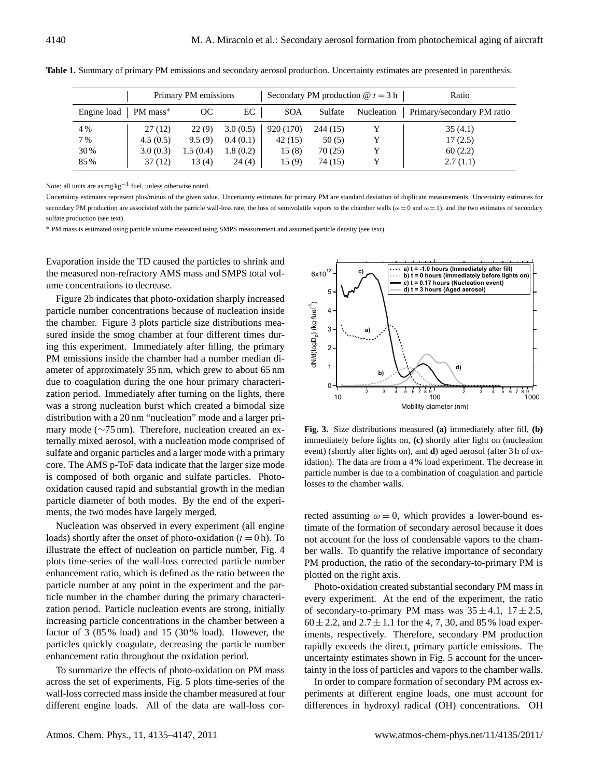| Primary PM emissions |          |          |          | Secondary PM production $\omega t = 3$ h |          |            | Ratio                      |
|----------------------|----------|----------|----------|------------------------------------------|----------|------------|----------------------------|
| Engine load          | PM mass* | OC.      | EС       | <b>SOA</b>                               | Sulfate  | Nucleation | Primary/secondary PM ratio |
| 4 %                  | 27(12)   | 22(9)    | 3.0(0.5) | 920 (170)                                | 244 (15) |            | 35(4.1)                    |
| 7 %                  | 4.5(0.5) | 9.5(9)   | 0.4(0.1) | 42(15)                                   | 50(5)    |            | 17(2.5)                    |
| 30%                  | 3.0(0.3) | 1.5(0.4) | 1.8(0.2) | 15(8)                                    | 70(25)   |            | 60(2.2)                    |
| 85%                  | 37(12)   | 13(4)    | 24(4)    | 15(9)                                    | 74 (15)  |            | 2.7(1.1)                   |

**Table 1.** Summary of primary PM emissions and secondary aerosol production. Uncertainty estimates are presented in parenthesis.

Note: all units are as mg kg<sup>-1</sup> fuel, unless otherwise noted.

Uncertainty estimates represent plus/minus of the given value. Uncertainty estimates for primary PM are standard deviation of duplicate measurements. Uncertainty estimates for secondary PM production are associated with the particle wall-loss rate, the loss of semivolatile vapors to the chamber walls ( $\omega = 0$  and  $\omega = 1$ ), and the two estimates of secondary sulfate production (see text).

<sup>∗</sup> PM mass is estimated using particle volume measured using SMPS measurement and assumed particle density (see text).

Evaporation inside the TD caused the particles to shrink and the measured non-refractory AMS mass and SMPS total volume concentrations to decrease.

Figure 2b indicates that photo-oxidation sharply increased particle number concentrations because of nucleation inside the chamber. Figure 3 plots particle size distributions measured inside the smog chamber at four different times during this experiment. Immediately after filling, the primary PM emissions inside the chamber had a number median diameter of approximately 35 nm, which grew to about 65 nm due to coagulation during the one hour primary characterization period. Immediately after turning on the lights, there was a strong nucleation burst which created a bimodal size distribution with a 20 nm "nucleation" mode and a larger primary mode (∼75 nm). Therefore, nucleation created an externally mixed aerosol, with a nucleation mode comprised of sulfate and organic particles and a larger mode with a primary core. The AMS p-ToF data indicate that the larger size mode is composed of both organic and sulfate particles. Photooxidation caused rapid and substantial growth in the median particle diameter of both modes. By the end of the experiments, the two modes have largely merged.

Nucleation was observed in every experiment (all engine loads) shortly after the onset of photo-oxidation  $(t = 0 h)$ . To illustrate the effect of nucleation on particle number, Fig. 4 plots time-series of the wall-loss corrected particle number enhancement ratio, which is defined as the ratio between the particle number at any point in the experiment and the particle number in the chamber during the primary characterization period. Particle nucleation events are strong, initially increasing particle concentrations in the chamber between a factor of 3 (85 % load) and 15 (30 % load). However, the particles quickly coagulate, decreasing the particle number enhancement ratio throughout the oxidation period.

To summarize the effects of photo-oxidation on PM mass across the set of experiments, Fig. 5 plots time-series of the wall-loss corrected mass inside the chamber measured at four different engine loads. All of the data are wall-loss cor-



**Fig. 3.** Size distributions measured **(a)** immediately after fill, **(b)** immediately before lights on, **(c)** shortly after light on (nucleation event) (shortly after lights on), and **d**) aged aerosol (after 3 h of oxidation). The data are from a 4 % load experiment. The decrease in particle number is due to a combination of coagulation and particle losses to the chamber walls.

rected assuming  $\omega = 0$ , which provides a lower-bound estimate of the formation of secondary aerosol because it does not account for the loss of condensable vapors to the chamber walls. To quantify the relative importance of secondary PM production, the ratio of the secondary-to-primary PM is plotted on the right axis.

Photo-oxidation created substantial secondary PM mass in every experiment. At the end of the experiment, the ratio of secondary-to-primary PM mass was  $35 \pm 4.1$ ,  $17 \pm 2.5$ ,  $60 \pm 2.2$ , and  $2.7 \pm 1.1$  for the 4, 7, 30, and 85 % load experiments, respectively. Therefore, secondary PM production rapidly exceeds the direct, primary particle emissions. The uncertainty estimates shown in Fig. 5 account for the uncertainty in the loss of particles and vapors to the chamber walls.

In order to compare formation of secondary PM across experiments at different engine loads, one must account for differences in hydroxyl radical (OH) concentrations. OH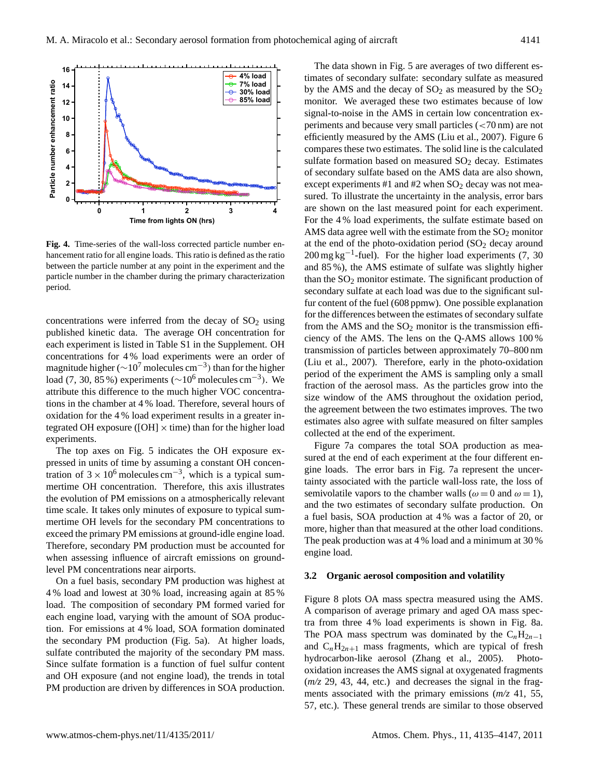

**Fig. 4.** Time-series of the wall-loss corrected particle number enhancement ratio for all engine loads. This ratio is defined as the ratio between the particle number at any point in the experiment and the particle number in the chamber during the primary characterization period.

concentrations were inferred from the decay of  $SO<sub>2</sub>$  using published kinetic data. The average OH concentration for each experiment is listed in Table S1 in the Supplement. OH concentrations for 4 % load experiments were an order of magnitude higher ( $\sim$ 10<sup>7</sup> molecules cm<sup>-3</sup>) than for the higher load (7, 30, 85 %) experiments ( $\sim$ 10<sup>6</sup> molecules cm<sup>-3</sup>). We attribute this difference to the much higher VOC concentrations in the chamber at 4 % load. Therefore, several hours of oxidation for the 4 % load experiment results in a greater integrated OH exposure ([OH]  $\times$  time) than for the higher load experiments.

The top axes on Fig. 5 indicates the OH exposure expressed in units of time by assuming a constant OH concentration of  $3 \times 10^6$  molecules cm<sup>-3</sup>, which is a typical summertime OH concentration. Therefore, this axis illustrates the evolution of PM emissions on a atmospherically relevant time scale. It takes only minutes of exposure to typical summertime OH levels for the secondary PM concentrations to exceed the primary PM emissions at ground-idle engine load. Therefore, secondary PM production must be accounted for when assessing influence of aircraft emissions on groundlevel PM concentrations near airports.

On a fuel basis, secondary PM production was highest at 4 % load and lowest at 30 % load, increasing again at 85 % load. The composition of secondary PM formed varied for each engine load, varying with the amount of SOA production. For emissions at 4 % load, SOA formation dominated the secondary PM production (Fig. 5a). At higher loads, sulfate contributed the majority of the secondary PM mass. Since sulfate formation is a function of fuel sulfur content and OH exposure (and not engine load), the trends in total PM production are driven by differences in SOA production.

The data shown in Fig. 5 are averages of two different estimates of secondary sulfate: secondary sulfate as measured by the AMS and the decay of  $SO_2$  as measured by the  $SO_2$ monitor. We averaged these two estimates because of low signal-to-noise in the AMS in certain low concentration experiments and because very small particles (<70 nm) are not efficiently measured by the AMS (Liu et al., 2007). Figure 6 compares these two estimates. The solid line is the calculated sulfate formation based on measured  $SO<sub>2</sub>$  decay. Estimates of secondary sulfate based on the AMS data are also shown, except experiments  $#1$  and  $#2$  when  $SO<sub>2</sub>$  decay was not measured. To illustrate the uncertainty in the analysis, error bars are shown on the last measured point for each experiment. For the 4 % load experiments, the sulfate estimate based on AMS data agree well with the estimate from the  $SO<sub>2</sub>$  monitor at the end of the photo-oxidation period  $(SO<sub>2</sub>$  decay around 200 mg kg<sup>-1</sup>-fuel). For the higher load experiments (7, 30 and 85 %), the AMS estimate of sulfate was slightly higher than the  $SO<sub>2</sub>$  monitor estimate. The significant production of secondary sulfate at each load was due to the significant sulfur content of the fuel (608 ppmw). One possible explanation for the differences between the estimates of secondary sulfate from the AMS and the  $SO<sub>2</sub>$  monitor is the transmission efficiency of the AMS. The lens on the Q-AMS allows 100 % transmission of particles between approximately 70–800 nm (Liu et al., 2007). Therefore, early in the photo-oxidation period of the experiment the AMS is sampling only a small fraction of the aerosol mass. As the particles grow into the size window of the AMS throughout the oxidation period, the agreement between the two estimates improves. The two estimates also agree with sulfate measured on filter samples collected at the end of the experiment.

Figure 7a compares the total SOA production as measured at the end of each experiment at the four different engine loads. The error bars in Fig. 7a represent the uncertainty associated with the particle wall-loss rate, the loss of semivolatile vapors to the chamber walls ( $\omega = 0$  and  $\omega = 1$ ), and the two estimates of secondary sulfate production. On a fuel basis, SOA production at 4 % was a factor of 20, or more, higher than that measured at the other load conditions. The peak production was at 4 % load and a minimum at 30 % engine load.

#### **3.2 Organic aerosol composition and volatility**

Figure 8 plots OA mass spectra measured using the AMS. A comparison of average primary and aged OA mass spectra from three 4 % load experiments is shown in Fig. 8a. The POA mass spectrum was dominated by the  $C_nH_{2n-1}$ and  $C_nH_{2n+1}$  mass fragments, which are typical of fresh hydrocarbon-like aerosol (Zhang et al., 2005). Photooxidation increases the AMS signal at oxygenated fragments  $(m/z)$  29, 43, 44, etc.) and decreases the signal in the fragments associated with the primary emissions (*m/z* 41, 55, 57, etc.). These general trends are similar to those observed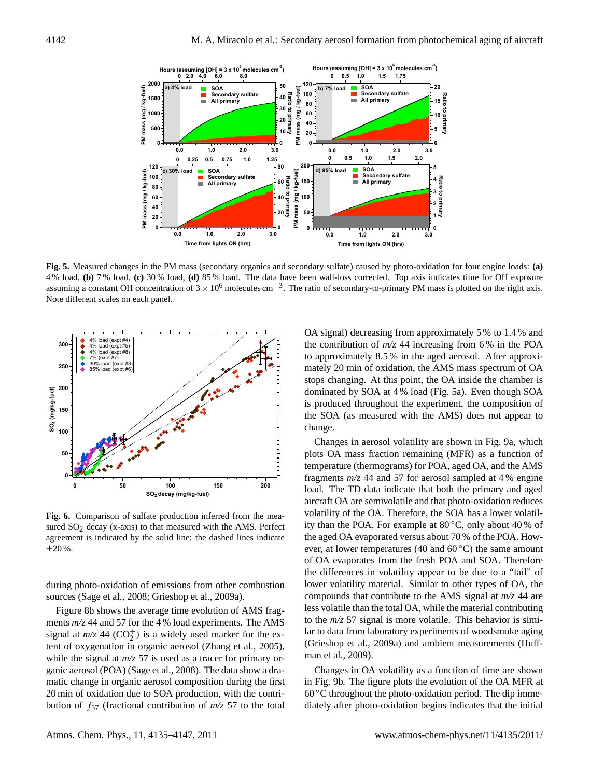

**Fig. 5.** Measured changes in the PM mass (secondary organics and secondary sulfate) caused by photo-oxidation for four engine loads: **(a)** 4 % load, **(b)** 7 % load, **(c)** 30 % load, **(d)** 85 % load. The data have been wall-loss corrected. Top axis indicates time for OH exposure assuming a constant OH concentration of  $3 \times 10^6$  molecules cm<sup>-3</sup>. The ratio of secondary-to-primary PM mass is plotted on the right axis. Note different scales on each panel.



**Fig. 6.** Comparison of sulfate production inferred from the measured  $SO_2$  decay (x-axis) to that measured with the AMS. Perfect agreement is indicated by the solid line; the dashed lines indicate  $\pm 20 \%$ .

during photo-oxidation of emissions from other combustion sources (Sage et al., 2008; Grieshop et al., 2009a).

Figure 8b shows the average time evolution of AMS fragments *m/z* 44 and 57 for the 4 % load experiments. The AMS signal at  $m/z$  44 (CO<sub>2</sub><sup>+</sup>) is a widely used marker for the extent of oxygenation in organic aerosol (Zhang et al., 2005), while the signal at  $m/z$  57 is used as a tracer for primary organic aerosol (POA) (Sage et al., 2008). The data show a dramatic change in organic aerosol composition during the first 20 min of oxidation due to SOA production, with the contribution of  $f_{57}$  (fractional contribution of  $m/z$  57 to the total OA signal) decreasing from approximately 5 % to 1.4 % and the contribution of  $m/z$  44 increasing from 6% in the POA to approximately 8.5 % in the aged aerosol. After approximately 20 min of oxidation, the AMS mass spectrum of OA stops changing. At this point, the OA inside the chamber is dominated by SOA at 4 % load (Fig. 5a). Even though SOA is produced throughout the experiment, the composition of the SOA (as measured with the AMS) does not appear to change.

Changes in aerosol volatility are shown in Fig. 9a, which plots OA mass fraction remaining (MFR) as a function of temperature (thermograms) for POA, aged OA, and the AMS fragments *m/z* 44 and 57 for aerosol sampled at 4 % engine load. The TD data indicate that both the primary and aged aircraft OA are semivolatile and that photo-oxidation reduces volatility of the OA. Therefore, the SOA has a lower volatility than the POA. For example at  $80^{\circ}$ C, only about 40 % of the aged OA evaporated versus about 70 % of the POA. However, at lower temperatures (40 and  $60^{\circ}$ C) the same amount of OA evaporates from the fresh POA and SOA. Therefore the differences in volatility appear to be due to a "tail" of lower volatility material. Similar to other types of OA, the compounds that contribute to the AMS signal at *m/z* 44 are less volatile than the total OA, while the material contributing to the *m/z* 57 signal is more volatile. This behavior is similar to data from laboratory experiments of woodsmoke aging (Grieshop et al., 2009a) and ambient measurements (Huffman et al., 2009).

Changes in OA volatility as a function of time are shown in Fig. 9b. The figure plots the evolution of the OA MFR at  $60^{\circ}$ C throughout the photo-oxidation period. The dip immediately after photo-oxidation begins indicates that the initial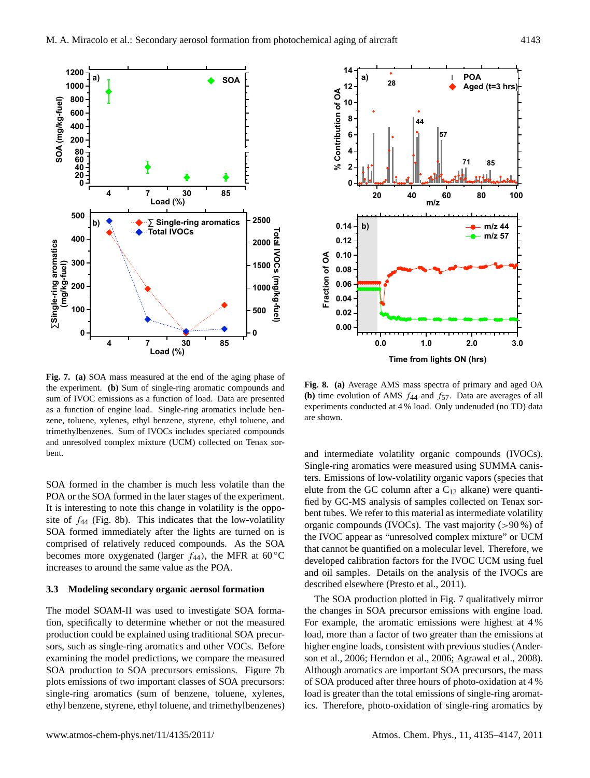

**Fig. 7. (a)** SOA mass measured at the end of the aging phase of the experiment. **(b)** Sum of single-ring aromatic compounds and sum of IVOC emissions as a function of load. Data are presented as a function of engine load. Single-ring aromatics include benzene, toluene, xylenes, ethyl benzene, styrene, ethyl toluene, and trimethylbenzenes. Sum of IVOCs includes speciated compounds and unresolved complex mixture (UCM) collected on Tenax sorbent.

SOA formed in the chamber is much less volatile than the POA or the SOA formed in the later stages of the experiment. It is interesting to note this change in volatility is the opposite of  $f_{44}$  (Fig. 8b). This indicates that the low-volatility SOA formed immediately after the lights are turned on is comprised of relatively reduced compounds. As the SOA becomes more oxygenated (larger  $f_{44}$ ), the MFR at 60 °C increases to around the same value as the POA.

### **3.3 Modeling secondary organic aerosol formation**

The model SOAM-II was used to investigate SOA formation, specifically to determine whether or not the measured production could be explained using traditional SOA precursors, such as single-ring aromatics and other VOCs. Before examining the model predictions, we compare the measured SOA production to SOA precursors emissions. Figure 7b plots emissions of two important classes of SOA precursors: single-ring aromatics (sum of benzene, toluene, xylenes, ethyl benzene, styrene, ethyl toluene, and trimethylbenzenes)



**Time from lights ON (hrs)**

**Fig. 8. (a)** Average AMS mass spectra of primary and aged OA **(b)** time evolution of AMS  $f_{44}$  and  $f_{57}$ . Data are averages of all experiments conducted at 4 % load. Only undenuded (no TD) data are shown.

and intermediate volatility organic compounds (IVOCs). Single-ring aromatics were measured using SUMMA canisters. Emissions of low-volatility organic vapors (species that elute from the GC column after a  $C_{12}$  alkane) were quantified by GC-MS analysis of samples collected on Tenax sorbent tubes. We refer to this material as intermediate volatility organic compounds (IVOCs). The vast majority  $(>90\%)$  of the IVOC appear as "unresolved complex mixture" or UCM that cannot be quantified on a molecular level. Therefore, we developed calibration factors for the IVOC UCM using fuel and oil samples. Details on the analysis of the IVOCs are described elsewhere (Presto et al., 2011).

The SOA production plotted in Fig. 7 qualitatively mirror the changes in SOA precursor emissions with engine load. For example, the aromatic emissions were highest at 4 % load, more than a factor of two greater than the emissions at higher engine loads, consistent with previous studies (Anderson et al., 2006; Herndon et al., 2006; Agrawal et al., 2008). Although aromatics are important SOA precursors, the mass of SOA produced after three hours of photo-oxidation at 4 % load is greater than the total emissions of single-ring aromatics. Therefore, photo-oxidation of single-ring aromatics by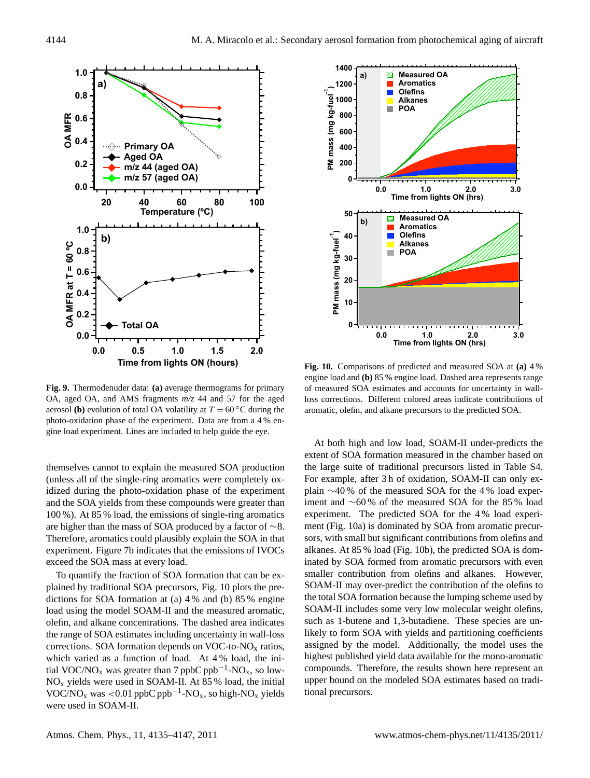

**Fig. 9.** Thermodenuder data: **(a)** average thermograms for primary OA, aged OA, and AMS fragments *m/z* 44 and 57 for the aged aerosol **(b)** evolution of total OA volatility at  $T = 60 °C$  during the photo-oxidation phase of the experiment. Data are from a 4 % engine load experiment. Lines are included to help guide the eye.

themselves cannot to explain the measured SOA production (unless all of the single-ring aromatics were completely oxidized during the photo-oxidation phase of the experiment and the SOA yields from these compounds were greater than 100 %). At 85 % load, the emissions of single-ring aromatics are higher than the mass of SOA produced by a factor of ∼8. Therefore, aromatics could plausibly explain the SOA in that experiment. Figure 7b indicates that the emissions of IVOCs exceed the SOA mass at every load.

To quantify the fraction of SOA formation that can be explained by traditional SOA precursors, Fig. 10 plots the predictions for SOA formation at (a) 4 % and (b) 85 % engine load using the model SOAM-II and the measured aromatic, olefin, and alkane concentrations. The dashed area indicates the range of SOA estimates including uncertainty in wall-loss corrections. SOA formation depends on VOC-to- $NO<sub>x</sub>$  ratios, which varied as a function of load. At 4 % load, the initial VOC/NO<sub>x</sub> was greater than 7 ppbC ppb<sup>-1</sup>-NO<sub>x</sub>, so low- $NO<sub>x</sub>$  yields were used in SOAM-II. At 85 % load, the initial VOC/NO<sub>x</sub> was <0.01 ppbC ppb<sup>-1</sup>-NO<sub>x</sub>, so high-NO<sub>x</sub> yields were used in SOAM-II.



**Fig. 10.** Comparisons of predicted and measured SOA at **(a)** 4 % engine load and **(b)** 85 % engine load. Dashed area represents range of measured SOA estimates and accounts for uncertainty in wallloss corrections. Different colored areas indicate contributions of aromatic, olefin, and alkane precursors to the predicted SOA.

At both high and low load, SOAM-II under-predicts the extent of SOA formation measured in the chamber based on the large suite of traditional precursors listed in Table S4. For example, after 3 h of oxidation, SOAM-II can only explain ∼40 % of the measured SOA for the 4 % load experiment and ∼60 % of the measured SOA for the 85 % load experiment. The predicted SOA for the 4 % load experiment (Fig. 10a) is dominated by SOA from aromatic precursors, with small but significant contributions from olefins and alkanes. At 85 % load (Fig. 10b), the predicted SOA is dominated by SOA formed from aromatic precursors with even smaller contribution from olefins and alkanes. However, SOAM-II may over-predict the contribution of the olefins to the total SOA formation because the lumping scheme used by SOAM-II includes some very low molecular weight olefins, such as 1-butene and 1,3-butadiene. These species are unlikely to form SOA with yields and partitioning coefficients assigned by the model. Additionally, the model uses the highest published yield data available for the mono-aromatic compounds. Therefore, the results shown here represent an upper bound on the modeled SOA estimates based on traditional precursors.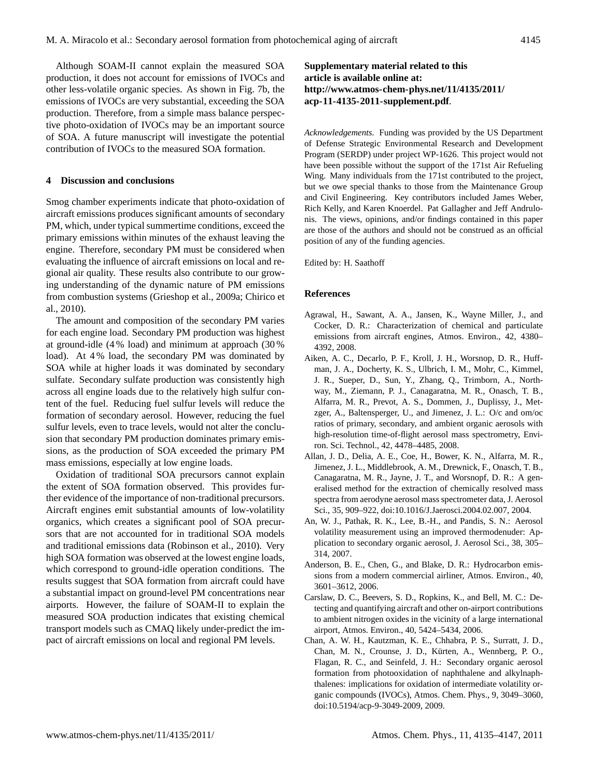Although SOAM-II cannot explain the measured SOA production, it does not account for emissions of IVOCs and other less-volatile organic species. As shown in Fig. 7b, the emissions of IVOCs are very substantial, exceeding the SOA production. Therefore, from a simple mass balance perspective photo-oxidation of IVOCs may be an important source of SOA. A future manuscript will investigate the potential contribution of IVOCs to the measured SOA formation.

### **4 Discussion and conclusions**

Smog chamber experiments indicate that photo-oxidation of aircraft emissions produces significant amounts of secondary PM, which, under typical summertime conditions, exceed the primary emissions within minutes of the exhaust leaving the engine. Therefore, secondary PM must be considered when evaluating the influence of aircraft emissions on local and regional air quality. These results also contribute to our growing understanding of the dynamic nature of PM emissions from combustion systems (Grieshop et al., 2009a; Chirico et al., 2010).

The amount and composition of the secondary PM varies for each engine load. Secondary PM production was highest at ground-idle (4 % load) and minimum at approach (30 % load). At 4 % load, the secondary PM was dominated by SOA while at higher loads it was dominated by secondary sulfate. Secondary sulfate production was consistently high across all engine loads due to the relatively high sulfur content of the fuel. Reducing fuel sulfur levels will reduce the formation of secondary aerosol. However, reducing the fuel sulfur levels, even to trace levels, would not alter the conclusion that secondary PM production dominates primary emissions, as the production of SOA exceeded the primary PM mass emissions, especially at low engine loads.

Oxidation of traditional SOA precursors cannot explain the extent of SOA formation observed. This provides further evidence of the importance of non-traditional precursors. Aircraft engines emit substantial amounts of low-volatility organics, which creates a significant pool of SOA precursors that are not accounted for in traditional SOA models and traditional emissions data (Robinson et al., 2010). Very high SOA formation was observed at the lowest engine loads, which correspond to ground-idle operation conditions. The results suggest that SOA formation from aircraft could have a substantial impact on ground-level PM concentrations near airports. However, the failure of SOAM-II to explain the measured SOA production indicates that existing chemical transport models such as CMAQ likely under-predict the impact of aircraft emissions on local and regional PM levels.

# **Supplementary material related to this article is available online at: [http://www.atmos-chem-phys.net/11/4135/2011/](http://www.atmos-chem-phys.net/11/4135/2011/acp-11-4135-2011-supplement.pdf) [acp-11-4135-2011-supplement.pdf](http://www.atmos-chem-phys.net/11/4135/2011/acp-11-4135-2011-supplement.pdf)**.

*Acknowledgements.* Funding was provided by the US Department of Defense Strategic Environmental Research and Development Program (SERDP) under project WP-1626. This project would not have been possible without the support of the 171st Air Refueling Wing. Many individuals from the 171st contributed to the project, but we owe special thanks to those from the Maintenance Group and Civil Engineering. Key contributors included James Weber, Rich Kelly, and Karen Knoerdel. Pat Gallagher and Jeff Andrulonis. The views, opinions, and/or findings contained in this paper are those of the authors and should not be construed as an official position of any of the funding agencies.

Edited by: H. Saathoff

#### **References**

- Agrawal, H., Sawant, A. A., Jansen, K., Wayne Miller, J., and Cocker, D. R.: Characterization of chemical and particulate emissions from aircraft engines, Atmos. Environ., 42, 4380– 4392, 2008.
- Aiken, A. C., Decarlo, P. F., Kroll, J. H., Worsnop, D. R., Huffman, J. A., Docherty, K. S., Ulbrich, I. M., Mohr, C., Kimmel, J. R., Sueper, D., Sun, Y., Zhang, Q., Trimborn, A., Northway, M., Ziemann, P. J., Canagaratna, M. R., Onasch, T. B., Alfarra, M. R., Prevot, A. S., Dommen, J., Duplissy, J., Metzger, A., Baltensperger, U., and Jimenez, J. L.: O/c and om/oc ratios of primary, secondary, and ambient organic aerosols with high-resolution time-of-flight aerosol mass spectrometry, Environ. Sci. Technol., 42, 4478–4485, 2008.
- Allan, J. D., Delia, A. E., Coe, H., Bower, K. N., Alfarra, M. R., Jimenez, J. L., Middlebrook, A. M., Drewnick, F., Onasch, T. B., Canagaratna, M. R., Jayne, J. T., and Worsnopf, D. R.: A generalised method for the extraction of chemically resolved mass spectra from aerodyne aerosol mass spectrometer data, J. Aerosol Sci., 35, 909–922, [doi:10.1016/J.Jaerosci.2004.02.007,](http://dx.doi.org/10.1016/J.Jaerosci.2004.02.007) 2004.
- An, W. J., Pathak, R. K., Lee, B.-H., and Pandis, S. N.: Aerosol volatility measurement using an improved thermodenuder: Application to secondary organic aerosol, J. Aerosol Sci., 38, 305– 314, 2007.
- Anderson, B. E., Chen, G., and Blake, D. R.: Hydrocarbon emissions from a modern commercial airliner, Atmos. Environ., 40, 3601–3612, 2006.
- Carslaw, D. C., Beevers, S. D., Ropkins, K., and Bell, M. C.: Detecting and quantifying aircraft and other on-airport contributions to ambient nitrogen oxides in the vicinity of a large international airport, Atmos. Environ., 40, 5424–5434, 2006.
- Chan, A. W. H., Kautzman, K. E., Chhabra, P. S., Surratt, J. D., Chan, M. N., Crounse, J. D., Kürten, A., Wennberg, P. O., Flagan, R. C., and Seinfeld, J. H.: Secondary organic aerosol formation from photooxidation of naphthalene and alkylnaphthalenes: implications for oxidation of intermediate volatility organic compounds (IVOCs), Atmos. Chem. Phys., 9, 3049–3060, [doi:10.5194/acp-9-3049-2009,](http://dx.doi.org/10.5194/acp-9-3049-2009) 2009.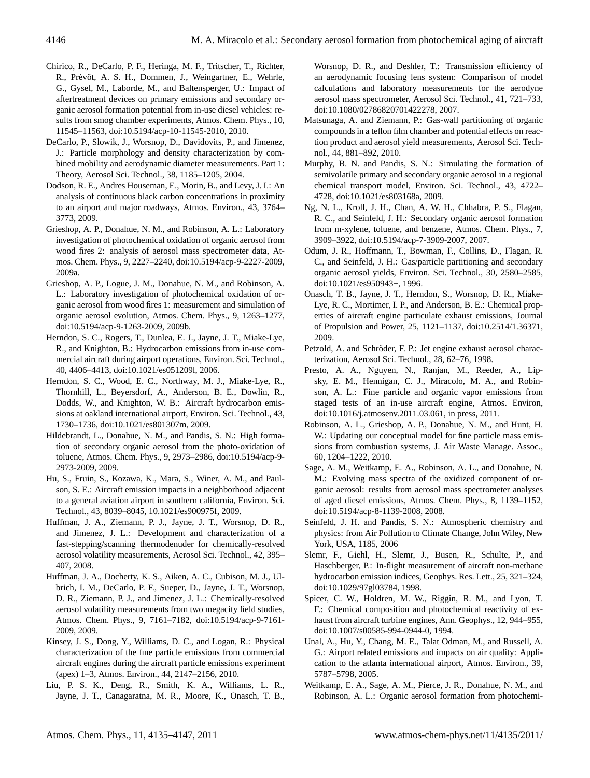- Chirico, R., DeCarlo, P. F., Heringa, M. F., Tritscher, T., Richter, R., Prévôt, A. S. H., Dommen, J., Weingartner, E., Wehrle, G., Gysel, M., Laborde, M., and Baltensperger, U.: Impact of aftertreatment devices on primary emissions and secondary organic aerosol formation potential from in-use diesel vehicles: results from smog chamber experiments, Atmos. Chem. Phys., 10, 11545–11563, [doi:10.5194/acp-10-11545-2010,](http://dx.doi.org/10.5194/acp-10-11545-2010) 2010.
- DeCarlo, P., Slowik, J., Worsnop, D., Davidovits, P., and Jimenez, J.: Particle morphology and density characterization by combined mobility and aerodynamic diameter measurements. Part 1: Theory, Aerosol Sci. Technol., 38, 1185–1205, 2004.
- Dodson, R. E., Andres Houseman, E., Morin, B., and Levy, J. I.: An analysis of continuous black carbon concentrations in proximity to an airport and major roadways, Atmos. Environ., 43, 3764– 3773, 2009.
- Grieshop, A. P., Donahue, N. M., and Robinson, A. L.: Laboratory investigation of photochemical oxidation of organic aerosol from wood fires 2: analysis of aerosol mass spectrometer data, Atmos. Chem. Phys., 9, 2227–2240, [doi:10.5194/acp-9-2227-2009,](http://dx.doi.org/10.5194/acp-9-2227-2009) 2009a.
- Grieshop, A. P., Logue, J. M., Donahue, N. M., and Robinson, A. L.: Laboratory investigation of photochemical oxidation of organic aerosol from wood fires 1: measurement and simulation of organic aerosol evolution, Atmos. Chem. Phys., 9, 1263–1277, [doi:10.5194/acp-9-1263-2009,](http://dx.doi.org/10.5194/acp-9-1263-2009) 2009b.
- Herndon, S. C., Rogers, T., Dunlea, E. J., Jayne, J. T., Miake-Lye, R., and Knighton, B.: Hydrocarbon emissions from in-use commercial aircraft during airport operations, Environ. Sci. Technol., 40, 4406–4413, [doi:10.1021/es051209l,](http://dx.doi.org/10.1021/es051209l) 2006.
- Herndon, S. C., Wood, E. C., Northway, M. J., Miake-Lye, R., Thornhill, L., Beyersdorf, A., Anderson, B. E., Dowlin, R., Dodds, W., and Knighton, W. B.: Aircraft hydrocarbon emissions at oakland international airport, Environ. Sci. Technol., 43, 1730–1736, [doi:10.1021/es801307m,](http://dx.doi.org/10.1021/es801307m) 2009.
- Hildebrandt, L., Donahue, N. M., and Pandis, S. N.: High formation of secondary organic aerosol from the photo-oxidation of toluene, Atmos. Chem. Phys., 9, 2973–2986, [doi:10.5194/acp-9-](http://dx.doi.org/10.5194/acp-9-2973-2009) [2973-2009,](http://dx.doi.org/10.5194/acp-9-2973-2009) 2009.
- Hu, S., Fruin, S., Kozawa, K., Mara, S., Winer, A. M., and Paulson, S. E.: Aircraft emission impacts in a neighborhood adjacent to a general aviation airport in southern california, Environ. Sci. Technol., 43, 8039–8045, 10.1021/es900975f, 2009.
- Huffman, J. A., Ziemann, P. J., Jayne, J. T., Worsnop, D. R., and Jimenez, J. L.: Development and characterization of a fast-stepping/scanning thermodenuder for chemically-resolved aerosol volatility measurements, Aerosol Sci. Technol., 42, 395– 407, 2008.
- Huffman, J. A., Docherty, K. S., Aiken, A. C., Cubison, M. J., Ulbrich, I. M., DeCarlo, P. F., Sueper, D., Jayne, J. T., Worsnop, D. R., Ziemann, P. J., and Jimenez, J. L.: Chemically-resolved aerosol volatility measurements from two megacity field studies, Atmos. Chem. Phys., 9, 7161–7182, [doi:10.5194/acp-9-7161-](http://dx.doi.org/10.5194/acp-9-7161-2009) [2009,](http://dx.doi.org/10.5194/acp-9-7161-2009) 2009.
- Kinsey, J. S., Dong, Y., Williams, D. C., and Logan, R.: Physical characterization of the fine particle emissions from commercial aircraft engines during the aircraft particle emissions experiment (apex) 1–3, Atmos. Environ., 44, 2147–2156, 2010.
- Liu, P. S. K., Deng, R., Smith, K. A., Williams, L. R., Jayne, J. T., Canagaratna, M. R., Moore, K., Onasch, T. B.,

Worsnop, D. R., and Deshler, T.: Transmission efficiency of an aerodynamic focusing lens system: Comparison of model calculations and laboratory measurements for the aerodyne aerosol mass spectrometer, Aerosol Sci. Technol., 41, 721–733, [doi:10.1080/02786820701422278,](http://dx.doi.org/10.1080/02786820701422278) 2007.

- Matsunaga, A. and Ziemann, P.: Gas-wall partitioning of organic compounds in a teflon film chamber and potential effects on reaction product and aerosol yield measurements, Aerosol Sci. Technol., 44, 881–892, 2010.
- Murphy, B. N. and Pandis, S. N.: Simulating the formation of semivolatile primary and secondary organic aerosol in a regional chemical transport model, Environ. Sci. Technol., 43, 4722– 4728, [doi:10.1021/es803168a,](http://dx.doi.org/10.1021/es803168a) 2009.
- Ng, N. L., Kroll, J. H., Chan, A. W. H., Chhabra, P. S., Flagan, R. C., and Seinfeld, J. H.: Secondary organic aerosol formation from m-xylene, toluene, and benzene, Atmos. Chem. Phys., 7, 3909–3922, [doi:10.5194/acp-7-3909-2007,](http://dx.doi.org/10.5194/acp-7-3909-2007) 2007.
- Odum, J. R., Hoffmann, T., Bowman, F., Collins, D., Flagan, R. C., and Seinfeld, J. H.: Gas/particle partitioning and secondary organic aerosol yields, Environ. Sci. Technol., 30, 2580–2585, [doi:10.1021/es950943+,](http://dx.doi.org/10.1021/es950943+) 1996.
- Onasch, T. B., Jayne, J. T., Herndon, S., Worsnop, D. R., Miake-Lye, R. C., Mortimer, I. P., and Anderson, B. E.: Chemical properties of aircraft engine particulate exhaust emissions, Journal of Propulsion and Power, 25, 1121–1137, [doi:10.2514/1.36371,](http://dx.doi.org/10.2514/1.36371) 2009.
- Petzold, A. and Schröder, F. P.: Jet engine exhaust aerosol characterization, Aerosol Sci. Technol., 28, 62–76, 1998.
- Presto, A. A., Nguyen, N., Ranjan, M., Reeder, A., Lipsky, E. M., Hennigan, C. J., Miracolo, M. A., and Robinson, A. L.: Fine particle and organic vapor emissions from staged tests of an in-use aircraft engine, Atmos. Environ, [doi:10.1016/j.atmosenv.2011.03.061,](http://dx.doi.org/10.1016/j.atmosenv.2011.03.061) in press, 2011.
- Robinson, A. L., Grieshop, A. P., Donahue, N. M., and Hunt, H. W.: Updating our conceptual model for fine particle mass emissions from combustion systems, J. Air Waste Manage. Assoc., 60, 1204–1222, 2010.
- Sage, A. M., Weitkamp, E. A., Robinson, A. L., and Donahue, N. M.: Evolving mass spectra of the oxidized component of organic aerosol: results from aerosol mass spectrometer analyses of aged diesel emissions, Atmos. Chem. Phys., 8, 1139–1152, [doi:10.5194/acp-8-1139-2008,](http://dx.doi.org/10.5194/acp-8-1139-2008) 2008.
- Seinfeld, J. H. and Pandis, S. N.: Atmospheric chemistry and physics: from Air Pollution to Climate Change, John Wiley, New York, USA, 1185, 2006
- Slemr, F., Giehl, H., Slemr, J., Busen, R., Schulte, P., and Haschberger, P.: In-flight measurement of aircraft non-methane hydrocarbon emission indices, Geophys. Res. Lett., 25, 321–324, [doi:10.1029/97gl03784,](http://dx.doi.org/10.1029/97gl03784) 1998.
- Spicer, C. W., Holdren, M. W., Riggin, R. M., and Lyon, T. F.: Chemical composition and photochemical reactivity of exhaust from aircraft turbine engines, Ann. Geophys., 12, 944–955, [doi:10.1007/s00585-994-0944-0,](http://dx.doi.org/10.1007/s00585-994-0944-0) 1994.
- Unal, A., Hu, Y., Chang, M. E., Talat Odman, M., and Russell, A. G.: Airport related emissions and impacts on air quality: Application to the atlanta international airport, Atmos. Environ., 39, 5787–5798, 2005.
- Weitkamp, E. A., Sage, A. M., Pierce, J. R., Donahue, N. M., and Robinson, A. L.: Organic aerosol formation from photochemi-